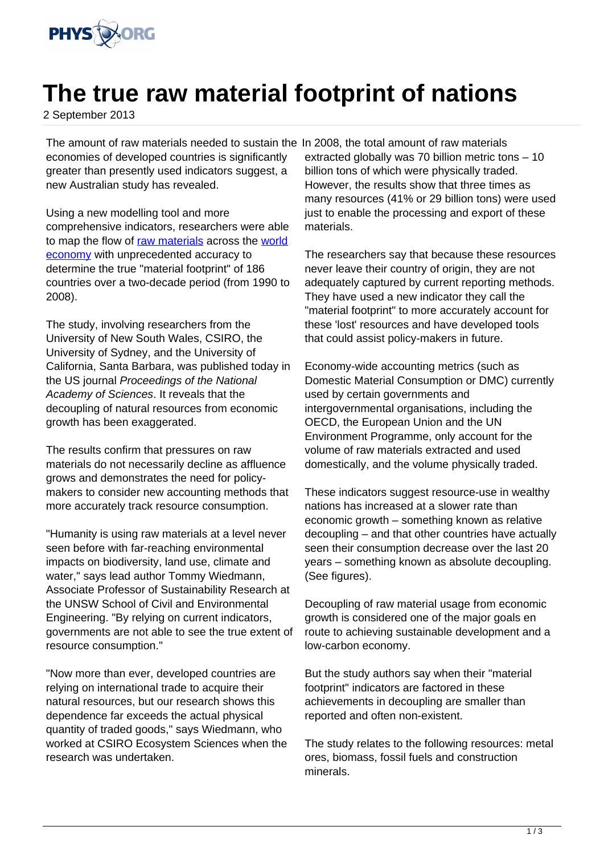

## **The true raw material footprint of nations**

2 September 2013

The amount of raw materials needed to sustain the In 2008, the total amount of raw materials economies of developed countries is significantly greater than presently used indicators suggest, a new Australian study has revealed.

Using a new modelling tool and more comprehensive indicators, researchers were able to map the flow of [raw materials](https://phys.org/tags/raw+materials/) across the [world](https://phys.org/tags/world+economy/) [economy](https://phys.org/tags/world+economy/) with unprecedented accuracy to determine the true "material footprint" of 186 countries over a two-decade period (from 1990 to 2008).

The study, involving researchers from the University of New South Wales, CSIRO, the University of Sydney, and the University of California, Santa Barbara, was published today in the US journal Proceedings of the National Academy of Sciences. It reveals that the decoupling of natural resources from economic growth has been exaggerated.

The results confirm that pressures on raw materials do not necessarily decline as affluence grows and demonstrates the need for policymakers to consider new accounting methods that more accurately track resource consumption.

"Humanity is using raw materials at a level never seen before with far-reaching environmental impacts on biodiversity, land use, climate and water," says lead author Tommy Wiedmann, Associate Professor of Sustainability Research at the UNSW School of Civil and Environmental Engineering. "By relying on current indicators, governments are not able to see the true extent of resource consumption."

"Now more than ever, developed countries are relying on international trade to acquire their natural resources, but our research shows this dependence far exceeds the actual physical quantity of traded goods," says Wiedmann, who worked at CSIRO Ecosystem Sciences when the research was undertaken.

extracted globally was 70 billion metric tons – 10 billion tons of which were physically traded. However, the results show that three times as many resources (41% or 29 billion tons) were used just to enable the processing and export of these materials.

The researchers say that because these resources never leave their country of origin, they are not adequately captured by current reporting methods. They have used a new indicator they call the "material footprint" to more accurately account for these 'lost' resources and have developed tools that could assist policy-makers in future.

Economy-wide accounting metrics (such as Domestic Material Consumption or DMC) currently used by certain governments and intergovernmental organisations, including the OECD, the European Union and the UN Environment Programme, only account for the volume of raw materials extracted and used domestically, and the volume physically traded.

These indicators suggest resource-use in wealthy nations has increased at a slower rate than economic growth – something known as relative decoupling – and that other countries have actually seen their consumption decrease over the last 20 years – something known as absolute decoupling. (See figures).

Decoupling of raw material usage from economic growth is considered one of the major goals en route to achieving sustainable development and a low-carbon economy.

But the study authors say when their "material footprint" indicators are factored in these achievements in decoupling are smaller than reported and often non-existent.

The study relates to the following resources: metal ores, biomass, fossil fuels and construction minerals.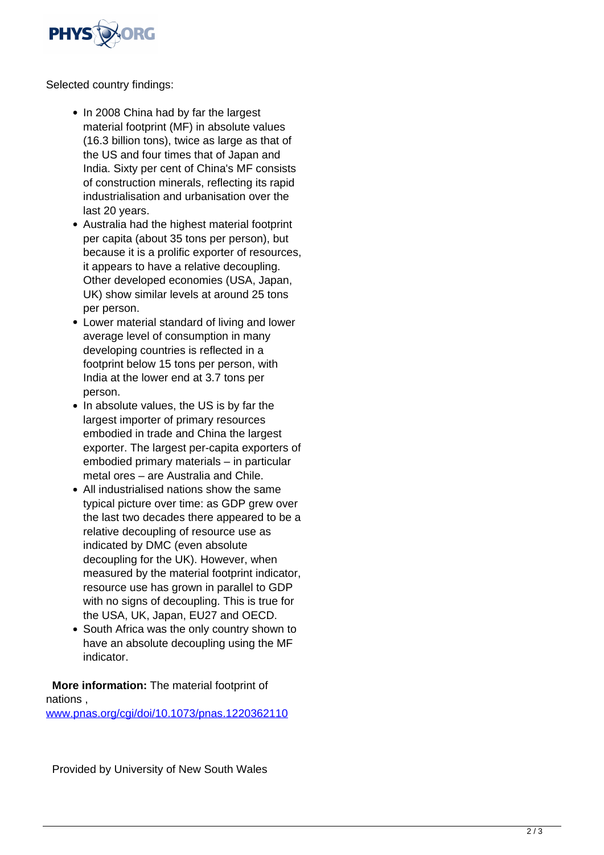

Selected country findings:

- In 2008 China had by far the largest material footprint (MF) in absolute values (16.3 billion tons), twice as large as that of the US and four times that of Japan and India. Sixty per cent of China's MF consists of construction minerals, reflecting its rapid industrialisation and urbanisation over the last 20 years.
- Australia had the highest material footprint per capita (about 35 tons per person), but because it is a prolific exporter of resources, it appears to have a relative decoupling. Other developed economies (USA, Japan, UK) show similar levels at around 25 tons per person.
- Lower material standard of living and lower average level of consumption in many developing countries is reflected in a footprint below 15 tons per person, with India at the lower end at 3.7 tons per person.
- In absolute values, the US is by far the largest importer of primary resources embodied in trade and China the largest exporter. The largest per-capita exporters of embodied primary materials – in particular metal ores – are Australia and Chile.
- All industrialised nations show the same typical picture over time: as GDP grew over the last two decades there appeared to be a relative decoupling of resource use as indicated by DMC (even absolute decoupling for the UK). However, when measured by the material footprint indicator, resource use has grown in parallel to GDP with no signs of decoupling. This is true for the USA, UK, Japan, EU27 and OECD.
- South Africa was the only country shown to have an absolute decoupling using the MF indicator.

 **More information:** The material footprint of nations , [www.pnas.org/cgi/doi/10.1073/pnas.1220362110](http://www.pnas.org/cgi/doi/10.1073/pnas.1220362110)

Provided by University of New South Wales